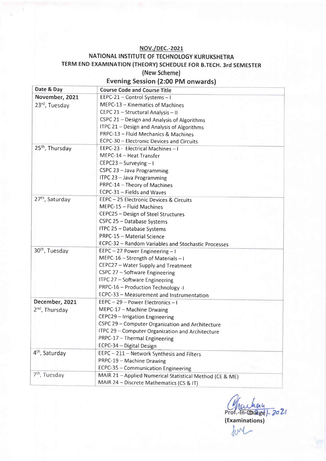#### NOV./pEC.-202L

#### NATIONAL INSTITUTE OF TECHNOLOGY KURUKSHETRA TERM END EXAMINATION (THEORY) SCHEDULE FOR B.TECH. 3rd SEMESTER (New Scheme) Evening Session (2:00 pM onwards)

| Date & Day                  | <b>Course Code and Course Title</b>                      |
|-----------------------------|----------------------------------------------------------|
| November, 2021              | EEPC-21 - Control Systems - I                            |
| 23rd, Tuesday               | MEPC-13 - Kinematics of Machines                         |
|                             | CEPC 21 - Structural Analysis - II                       |
|                             | CSPC 21 - Design and Analysis of Algorithms              |
|                             | ITPC 21 - Design and Analysis of Algorithms              |
|                             | PRPC-13 - Fluid Mechanics & Machines                     |
|                             | ECPC-30 - Electronic Devices and Circuits                |
| 25 <sup>th</sup> , Thursday | EEPC-23 - Electrical Machines - I                        |
|                             | MEPC-14 - Heat Transfer                                  |
|                             | CEPC23 - Surveying - I                                   |
|                             | CSPC 23 - Java Programming                               |
|                             | ITPC 23 - Java Programming                               |
|                             | PRPC-14 - Theory of Machines                             |
|                             | ECPC-31 - Fields and Waves                               |
| 27 <sup>th</sup> , Saturday | EEPC-25 Electronic Devices & Circuits                    |
|                             | MEPC-15 - Fluid Machines                                 |
|                             | CEPC25 - Design of Steel Structures                      |
|                             | CSPC 25 - Database Systems                               |
|                             | ITPC 25 - Database Systems                               |
|                             | PRPC-15 - Material Science                               |
|                             | ECPC-32 - Random Variables and Stochastic Processes      |
| 30 <sup>th</sup> , Tuesday  | EEPC-27 Power Engineering-I                              |
|                             | MEPC-16 - Strength of Materials - I                      |
|                             | CEPC27 - Water Supply and Treatment                      |
|                             | CSPC 27 - Software Engineering                           |
|                             | ITPC 27 - Software Engineering                           |
|                             | PRPC-16 - Production Technology -I                       |
|                             | ECPC-33 - Measurement and Instrumentation                |
| December, 2021              | EEPC-29-Power Electronics-I                              |
| 2 <sup>nd</sup> , Thursday  | MEPC-17 - Machine Drwaing                                |
|                             | CEPC29 - Irrigation Engineering                          |
|                             | CSPC 29 - Computer Organization and Architecture         |
|                             | ITPC 29 - Computer Organization and Architecture         |
|                             | PRPC-17 - Thermal Engineering                            |
|                             | ECPC-34 - Digital Design                                 |
| 4 <sup>th</sup> , Saturday  | EEPC - 211 - Network Synthesis and Filters               |
|                             | PRPC-19 - Machine Drawing                                |
|                             | ECPC-35 - Communication Engineering                      |
| 7 <sup>th</sup> , Tuesday   | MAIR 21 - Applied Numerical Statistical Method (CE & ME) |
|                             | MAIR 24 - Discrete Mathematics (CS & IT)                 |

Chachay<br>Prof.-In-Charge). 2021 (Examinations)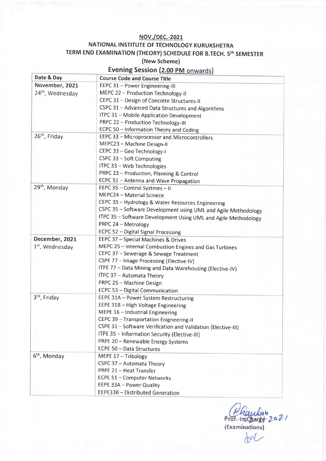#### **NOV./DEC.-2021**

### NATIONAL INSTITUTE OF TECHNOLOGY KURUKSHETRA TERM END EXAMINATION (THEORY) SCHEDULE FOR B.TECH. 5th SEMESTER

#### (New Scheme)

### **Evening Session (2.00 PM onwards)**

| Date & Day                  | <b>Course Code and Course Title</b>                            |
|-----------------------------|----------------------------------------------------------------|
| November, 2021              | EEPC 31 - Power Engineering-III                                |
| 24th, Wednesday             | MEPC 22 - Production Technology-II                             |
|                             | CEPC 31 - Design of Concrete Structures-II                     |
|                             | CSPC 31 - Advanced Data Structures and Algorithms              |
|                             | ITPC 31 - Mobile Application Development                       |
|                             | PRPC 22 - Production Technology-III                            |
|                             | ECPC 50 - Information Theory and Coding                        |
| 26 <sup>th</sup> , Friday   | EEPC 33 - Microprocessor and Microcontrollers                  |
|                             | MEPC23 - Machine Design-II                                     |
|                             | CEPC 33 - Geo Technology-I                                     |
|                             | $CSPC$ 33 – Soft Computing                                     |
|                             | ITPC 33 - Web Technologies                                     |
|                             | PRPC 23 - Production, Planning & Control                       |
|                             | ECPC 51 - Antenna and Wave Propagation                         |
| 29 <sup>th</sup> , Monday   | EEPC 35 - Control Systmes - II                                 |
|                             | MEPC24 - Material Scinece                                      |
|                             | CEPC 35 - Hydrology & Water Resources Engineering              |
|                             | CSPC 35 - Software Development using UML and Agile Methodology |
|                             | ITPC 35 - Software Development Using UML and Agile Methodology |
|                             | PRPC 24 - Metrology                                            |
|                             | ECPC 52 - Digital Signal Processing                            |
| December, 2021              | EEPC 37 - Special Machines & Drives                            |
| 1 <sup>st</sup> , Wednesday | MEPC 25 - Internal Combustion Engines and Gas Turbines         |
|                             | CEPC 37 - Sewerage & Sewage Treatment                          |
|                             | CSPE 77 - Image Processing (Elective-IV)                       |
|                             | ITPE 77 - Data Mining and Data Warehousing (Elective-IV)       |
|                             | ITPC 37 - Automata Theory                                      |
|                             | PRPC 25 - Machine Design                                       |
|                             | ECPC 53 - Digital Communication                                |
| 3rd, Friday                 | EEPE 31A - Power System Restructuring                          |
|                             | EEPE 31B - High Voltage Engineering                            |
|                             | MEPE 16 - Industrial Engineering                               |
|                             | CEPC 39 - Transportation Enigneering-II                        |
|                             | CSPE 31 - Software Verification and Validation (Elective-III)  |
|                             | ITPE 35 - Information Security (Elective-III)                  |
|                             | PRPE 20 - Renewable Energy Systems                             |
|                             | ECPE 50 - Data Structures                                      |
| 6 <sup>th</sup> , Monday    | MEPE 17 - Tribology                                            |
|                             | CSPC 37 - Automata Theory                                      |
|                             | PRPE 21 - Heat Transfer                                        |
|                             | ECPE 51 - Computer Networks                                    |
|                             | EEPE 33A - Power Quality                                       |
|                             | EEPE33B - Distributed Generation                               |

Prof.-Inscription 2021

tome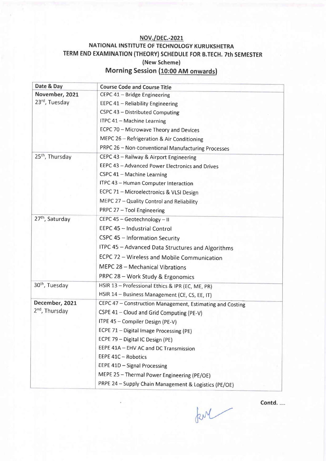#### NOV./pEC.-202L NATIONAL INSTITUTE OF TECHNOLOGY KURUKSHETRA TERM END EXAMINATION (THEORY) SCHEDULE FOR B.TECH. 7th SEMESTER (New Scheme) Morning Session (10:00 AM onwards)

| Date & Day                  | <b>Course Code and Course Title</b>                       |
|-----------------------------|-----------------------------------------------------------|
| November, 2021              | CEPC 41 - Bridge Engineering                              |
| 23rd, Tuesday               | EEPC 41 - Reliability Engineering                         |
|                             | CSPC 43 - Distributed Computing                           |
|                             | ITPC 41 - Machine Learning                                |
|                             | ECPC 70 - Microwave Theory and Devices                    |
|                             | MEPC 26 - Refrigeration & Air Conditioning                |
|                             | PRPC 26 - Non-conventional Manufacturing Processes        |
| 25 <sup>th</sup> , Thursday | CEPC 43 - Railway & Airport Engineering                   |
|                             | EEPC 43 - Advanced Power Electronics and Drives           |
|                             | CSPC 41 - Machine Learning                                |
|                             | ITPC 43 - Human Computer Interaction                      |
|                             | ECPC 71 - Microelectronics & VLSI Design                  |
|                             | MEPC 27 - Quality Control and Reliability                 |
|                             | PRPC 27 - Tool Engineering                                |
| 27 <sup>th</sup> , Saturday | CEPC 45 - Geotechnology - II                              |
|                             | EEPC 45 - Industrial Control                              |
|                             | CSPC 45 - Information Security                            |
|                             | ITPC 45 - Advanced Data Structures and Algorithms         |
|                             | ECPC 72 - Wireless and Mobile Communication               |
|                             | MEPC 28 - Mechanical Vibrations                           |
|                             | PRPC 28 - Work Study & Ergonomics                         |
| 30 <sup>th</sup> , Tuesday  | HSIR 13 - Professional Ethics & IPR (EC, ME, PR)          |
|                             | HSIR 14 - Business Management (CE, CS, EE, IT)            |
| December, 2021              | CEPC 47 - Construction Management, Estimating and Costing |
| 2 <sup>nd</sup> , Thursday  | CSPE 41 - Cloud and Grid Computing (PE-V)                 |
|                             | ITPE 45 - Compiler Design (PE-V)                          |
|                             | ECPE 71 - Digital Image Processing (PE)                   |
|                             | ECPE 79 - Digital IC Design (PE)                          |
|                             | EEPE 41A - EHV AC and DC Transmission                     |
|                             | EEPE 41C - Robotics                                       |
|                             | EEPE 41D - Signal Processing                              |
|                             | MEPE 25 - Thermal Power Engineering (PE/OE)               |
|                             | PRPE 24 - Supply Chain Management & Logistics (PE/OE)     |

Contd. ....

for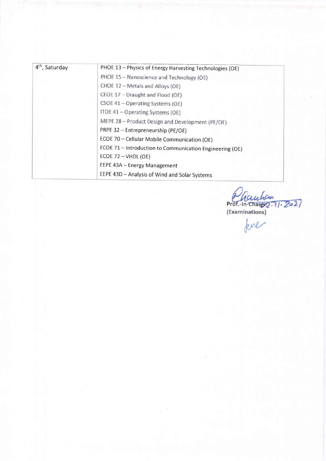| 4 <sup>th</sup> , Saturday | PHOE 13 - Physics of Energy Harvesting Technologies (OE) |
|----------------------------|----------------------------------------------------------|
|                            | PHOE 15 - Nanoscience and Technology (OE)                |
|                            | CHOE 12 - Metals and Alloys (OE)                         |
|                            | CEOE 17 - Draught and Flood (OE)                         |
|                            | CSOE 41 - Operating Systems (OE)                         |
|                            | ITOE 41 - Operating Systems (OE)                         |
|                            | MEPE 28 - Product Design and Development (PE/OE)         |
|                            | PRPE 32 - Entrepreneurship (PE/OE)                       |
|                            | ECOE 70 - Cellular Mobile Communication (OE)             |
|                            | ECOE 71 - Introduction to Communication Engineering (OE) |
|                            | ECOE 72 - VHDL (OE)                                      |
|                            | EEPE 43A - Energy Management                             |
|                            | EEPE 43D - Analysis of Wind and Solar Systems            |

Prot.-In-chargez. 11.2021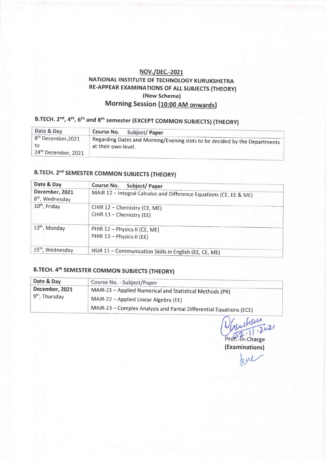### NOV./DEC.-2021<br>NATIONAL INSTITUTE OF TECHNOLOGY KURUKSHETRA RE-APPEAR EXAMINATIONS OF ALL SUBJECTS (THEORY) (New Scheme) Morning Session (10:00 AM onwards)

## B.TECH. 2<sup>nd</sup>, 4<sup>th</sup>, 6<sup>th</sup> and 8<sup>th</sup> semester (EXCEPT COMMON SUBJECTS) (THEORY)

| Date & Day                      | Course No.<br>Subject/Paper                                                |
|---------------------------------|----------------------------------------------------------------------------|
| 8 <sup>th</sup> December, 2021  | Regarding Dates and Morning/Evening slots to be decided by the Departments |
| to                              | at their own level.                                                        |
| 24 <sup>th</sup> December, 2021 |                                                                            |

## B.TECH. 2<sup>nd</sup> SEMESTER COMMON SUBJECTS (THEORY)

| Date & Day                                    | Course No.<br><b>Subject/Paper</b>                                 |
|-----------------------------------------------|--------------------------------------------------------------------|
| December, 2021<br>8 <sup>th</sup> , Wednesday | MAIR 12 - Integral Calculus and Difference Equations (CE, EE & ME) |
| 10 <sup>th</sup> , Friday                     | CHIR 12 - Chemistry (CE, ME)<br>CHIR 13 - Chemistry (EE)           |
| 13 <sup>th</sup> , Monday                     | PHIR 12 - Physics-II (CE, ME)<br>PHIR 13 - Physics-II (EE)         |
| 15 <sup>th</sup> , Wednesday                  | HSIR 11 - Communication Skills in English (EE, CE, ME)             |

## B.TECH.4th SEMESTER COMMON SUBJECTS (THEORY)

| Date & Day                                   | Course No. - Subject/Paper                                          |
|----------------------------------------------|---------------------------------------------------------------------|
| December, 2021<br>9 <sup>th</sup> , Thursday | MAIR-21 - Applied Numerical and Statistical Methods (PR)            |
|                                              | MAIR-22 – Applied Linear Algebra (EE)                               |
|                                              | MAIR-23 - Complex Analysis and Partial Differential Equations (ECE) |

Lan [,  $-2021$ Prof .- In-Charge

(Examinations)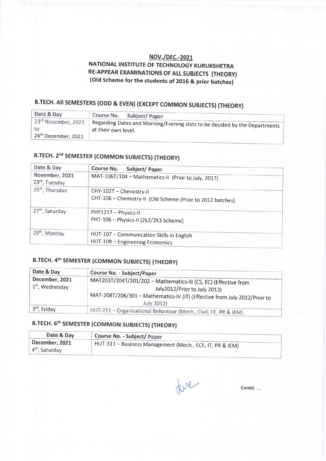#### NOV./pEC.-2021

#### NATIONAL INSTITUTE OF TECHNOLOGY KURUKSHETRA RE-APPEAR EXAMINATIONS OF ALL SUBJECTS (THEORY) (Old Scheme for the students of 201G & prior batches)

# B.TECH. AII SEMESTERS (ODD & EVEN) (EXCEPT COMMON SUBJECTS) (THEORY)

| Date & Day                                                   | Course No.<br>Subject/Paper                                                                       |
|--------------------------------------------------------------|---------------------------------------------------------------------------------------------------|
| 23rd November, 2021<br>to<br>24 <sup>th</sup> December, 2021 | Regarding Dates and Morning/Evening slots to be decided by the Departments<br>at their own level. |

# B.TECH. 2<sup>nd</sup> SEMESTER (COMMON SUBJECTS) (THEORY)

| Date & Day                      | Course No.<br>Subject/Paper                                                           |
|---------------------------------|---------------------------------------------------------------------------------------|
| November, 2021<br>23rd, Tuesday | MAT-106T/104 - Mathematics-II (Prior to July, 2017)                                   |
| 25 <sup>th</sup> , Thursday     | CHY-102T - Chemistry-II<br>CHT-106 - Chemistry-II (Old Scheme (Prior to 2012 batches) |
| 27 <sup>th</sup> , Saturday     | PHY121T - Physics-II<br>PHT-106 - Physics-II (2k2/2K3 Scheme)                         |
| 29 <sup>th</sup> , Monday       | HUT-107 - Communication Skills in English<br>HUT-109 - Engineering Economics          |

### B.TECH. 4th SEMESTER (COMMON SUBJECTS) (THEORY)

| Date & Day                                    | Course No. - Subject/Paper                                                                                                                                                                 |
|-----------------------------------------------|--------------------------------------------------------------------------------------------------------------------------------------------------------------------------------------------|
| December, 2021<br>1 <sup>st</sup> , Wednesday | MAT203T/204T/201/202 - Mathematics-III (CS, EC) (Effective from<br>July2012/Prior to July 2012)<br>MAT-208T/206/301 - Mathematics-IV (IT) (Effective from July 2012/Prior to<br>July 2012) |
| 3rd, Friday                                   | HUT-211 - Organizational Behaviour (Mech., Civil, EE, PR & IEM)                                                                                                                            |

### B.TECH. 5th SEMESTER (COMMON SUBJECTS) (THEORY)

| Date & Day                         | Course No. - Subject/ Paper                              |
|------------------------------------|----------------------------------------------------------|
| December, 2021<br>$4th$ , Saturday | HUT-311 – Business Management (Mech., ECE, IT, PR & IEM) |

ful

Contd.....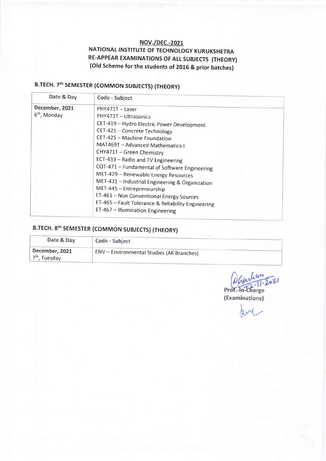#### **NOV./DEC.-2021** NATIONAL INSTITUTE OF TECHNOLOGY KURUKSHETRA RE-APPEAR EXAMINATIONS OF ALL SUBJECTS (THEORY) (Old Scheme for the students of 2016 & prior batches)

# B.TECH. 7th SEMESTER (COMMON SUBJECTS) (THEORY)

| Date & Day                                 | Code - Subject                                                                                                                                                                                                                                                                                                                                                                   |
|--------------------------------------------|----------------------------------------------------------------------------------------------------------------------------------------------------------------------------------------------------------------------------------------------------------------------------------------------------------------------------------------------------------------------------------|
| December, 2021<br>6 <sup>th</sup> , Monday | PHY471T - Laser<br>PHY472T - Ultrasonics<br>CET-419 - Hydro Electric Power Development<br>CET-421 - Concrete Technology<br>CET-425 - Machine Foundation<br>MAT469T - Advanced Mathematics-I                                                                                                                                                                                      |
|                                            | CHY471T - Green Chemistry<br>ECT-433 - Radio and TV Engineering<br>COT-471 - Fundamental of Software Engineering<br>MET-429 - Renewable Energy Resources<br>MET-431 - Industrial Engineering & Organization<br>MET-445 - Entrepreneurship<br>ET-461 - Non Conventional Energy Sources<br>ET-465 - Fault Tolerance & Reliability Engineering<br>ET-467 - Illumination Engineering |

# B.TECH. 8th SEMESTER (COMMON SUBJECTS) (THEORY)

| Date & Day                                  | Code - Subject                                    |
|---------------------------------------------|---------------------------------------------------|
| December, 2021<br>7 <sup>th</sup> , Tuesday | <b>ENV</b> - Environmental Studies (All Branches) |

 $194$ <br>11.2021 Prof.-In-Charge (Examinations)